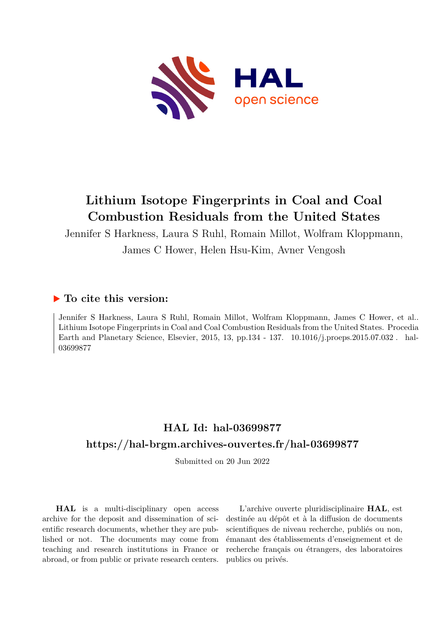

# **Lithium Isotope Fingerprints in Coal and Coal Combustion Residuals from the United States**

Jennifer S Harkness, Laura S Ruhl, Romain Millot, Wolfram Kloppmann, James C Hower, Helen Hsu-Kim, Avner Vengosh

### **To cite this version:**

Jennifer S Harkness, Laura S Ruhl, Romain Millot, Wolfram Kloppmann, James C Hower, et al.. Lithium Isotope Fingerprints in Coal and Coal Combustion Residuals from the United States. Procedia Earth and Planetary Science, Elsevier, 2015, 13, pp.134 - 137. 10.1016/j.proeps.2015.07.032. hal-03699877

## **HAL Id: hal-03699877 <https://hal-brgm.archives-ouvertes.fr/hal-03699877>**

Submitted on 20 Jun 2022

**HAL** is a multi-disciplinary open access archive for the deposit and dissemination of scientific research documents, whether they are published or not. The documents may come from teaching and research institutions in France or abroad, or from public or private research centers.

L'archive ouverte pluridisciplinaire **HAL**, est destinée au dépôt et à la diffusion de documents scientifiques de niveau recherche, publiés ou non, émanant des établissements d'enseignement et de recherche français ou étrangers, des laboratoires publics ou privés.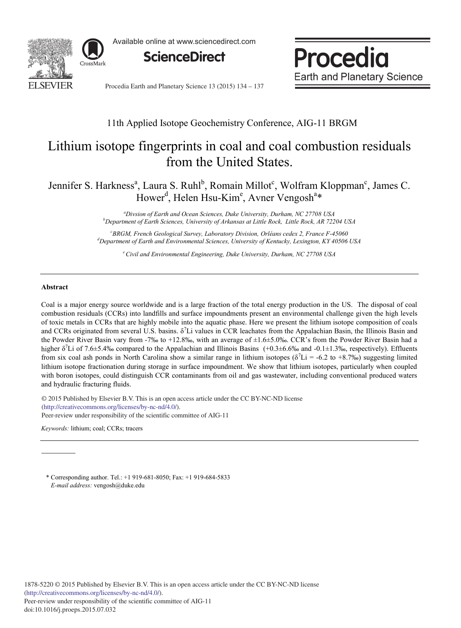

Available online at www.sciencedirect.com





Procedia Earth and Planetary Science 13 (2015) 134 - 137

### 11th Applied Isotope Geochemistry Conference, AIG-11 BRGM

## Lithium isotope fingerprints in coal and coal combustion residuals from the United States.

Jennifer S. Harkness<sup>a</sup>, Laura S. Ruhl<sup>b</sup>, Romain Millot<sup>c</sup>, Wolfram Kloppman<sup>c</sup>, James C. Hower<sup>d</sup>, Helen Hsu-Kim<sup>e</sup>, Avner Vengosh<sup>a\*</sup>

> *a Divsion of Earth and Ocean Sciences, Duke University, Durham, NC 27708 USA b Department of Earth Sciences, University of Arkansas at Little Rock, Little Rock, AR 72204 USA*

*c BRGM, French Geological Survey, Laboratory Division, Orléans cedex 2, France F-45060 d Department of Earth and Environmental Sciences, University of Kentucky, Lexington, KY 40506 USA*

*e Civil and Environmental Engineering, Duke University, Durham, NC 27708 USA*

#### **Abstract**

Coal is a major energy source worldwide and is a large fraction of the total energy production in the US. The disposal of coal combustion residuals (CCRs) into landfills and surface impoundments present an environmental challenge given the high levels of toxic metals in CCRs that are highly mobile into the aquatic phase. Here we present the lithium isotope composition of coals and CCRs originated from several U.S. basins.  $\delta^7$ Li values in CCR leachates from the Appalachian Basin, the Illinois Basin and the Powder River Basin vary from -7‰ to +12.8‰, with an average of  $\pm 1.6\pm 5.0$ ‰. CCR's from the Powder River Basin had a higher  $\delta^7$ Li of 7.6±5.4‰ compared to the Appalachian and Illinois Basins (+0.3±6.6‰ and -0.1±1.3‰, respectively). Effluents from six coal ash ponds in North Carolina show a similar range in lithium isotopes ( $\delta^7$ Li = -6.2 to +8.7‰) suggesting limited lithium isotope fractionation during storage in surface impoundment. We show that lithium isotopes, particularly when coupled with boron isotopes, could distinguish CCR contaminants from oil and gas wastewater, including conventional produced waters and hydraulic fracturing fluids.

 $\degree$  2015 Tubilished by Elsevier B.V. This is an open activity.//creativecommons.org/licenses/by-nc-nd/4.0/). Peer-review under responsibility of the scientific committee of AIG-11. Peer-review under responsibility of the scientific committee of AIG-11© 2015 Published by Elsevier B.V. This is an open access article under the CC BY-NC-ND license

*Keywords:* lithium; coal; CCRs; tracers

\* Corresponding author. Tel.: +1 919-681-8050; Fax: +1 919-684-5833 *E-mail address:* vengosh@duke.edu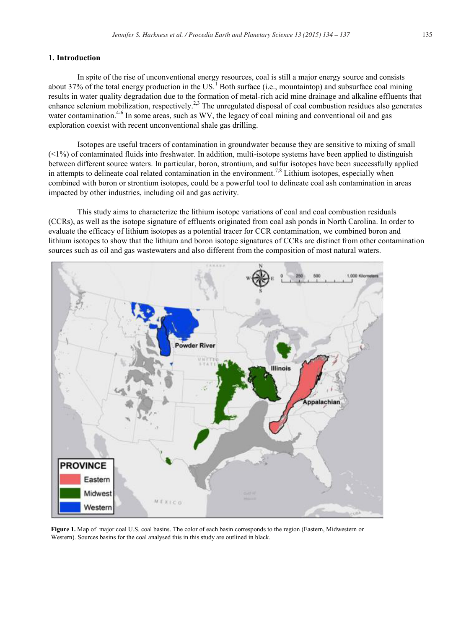#### **1. Introduction**

In spite of the rise of unconventional energy resources, coal is still a major energy source and consists about 37% of the total energy production in the US.<sup>1</sup> Both surface (i.e., mountaintop) and subsurface coal mining results in water quality degradation due to the formation of metal-rich acid mine drainage and alkaline effluents that enhance selenium mobilization, respectively.<sup>2,3</sup> The unregulated disposal of coal combustion residues also generates water contamination.<sup>4-6</sup> In some areas, such as WV, the legacy of coal mining and conventional oil and gas exploration coexist with recent unconventional shale gas drilling.

Isotopes are useful tracers of contamination in groundwater because they are sensitive to mixing of small  $(\leq 1\%)$  of contaminated fluids into freshwater. In addition, multi-isotope systems have been applied to distinguish between different source waters. In particular, boron, strontium, and sulfur isotopes have been successfully applied in attempts to delineate coal related contamination in the environment.<sup>7,8</sup> Lithium isotopes, especially when combined with boron or strontium isotopes, could be a powerful tool to delineate coal ash contamination in areas impacted by other industries, including oil and gas activity.

This study aims to characterize the lithium isotope variations of coal and coal combustion residuals (CCRs), as well as the isotope signature of effluents originated from coal ash ponds in North Carolina. In order to evaluate the efficacy of lithium isotopes as a potential tracer for CCR contamination, we combined boron and lithium isotopes to show that the lithium and boron isotope signatures of CCRs are distinct from other contamination sources such as oil and gas wastewaters and also different from the composition of most natural waters.



**Figure 1.** Map of major coal U.S. coal basins. The color of each basin corresponds to the region (Eastern, Midwestern or Western). Sources basins for the coal analysed this in this study are outlined in black.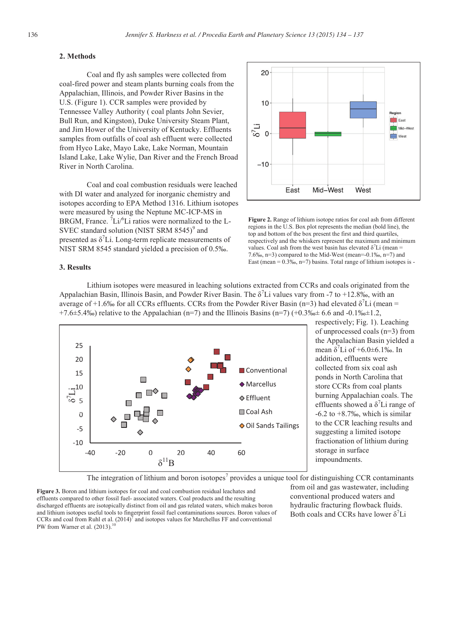#### **2. Methods**

Coal and fly ash samples were collected from coal-fired power and steam plants burning coals from the Appalachian, Illinois, and Powder River Basins in the U.S. (Figure 1). CCR samples were provided by Tennessee Valley Authority ( coal plants John Sevier, Bull Run, and Kingston), Duke University Steam Plant, and Jim Hower of the University of Kentucky. Effluents samples from outfalls of coal ash effluent were collected from Hyco Lake, Mayo Lake, Lake Norman, Mountain Island Lake, Lake Wylie, Dan River and the French Broad River in North Carolina.

Coal and coal combustion residuals were leached with DI water and analyzed for inorganic chemistry and isotopes according to EPA Method 1316. Lithium isotopes were measured by using the Neptune MC-ICP-MS in BRGM, France.  ${}^{7}$ Li/ ${}^{6}$ Li ratios were normalized to the L-SVEC standard solution (NIST SRM  $8545$ )<sup>9</sup> and presented as  $\delta^7$ Li. Long-term replicate measurements of NIST SRM 8545 standard yielded a precision of 0.5‰.



**Figure 2.** Range of lithium isotope ratios for coal ash from different regions in the U.S. Box plot represents the median (bold line), the top and bottom of the box present the first and third quartiles, respectively and the whiskers represent the maximum and minimum values. Coal ash from the west basin has elevated  $\delta^7$ Li (mean = 7.6‰, n=3) compared to the Mid-West (mean=-0.1‰, n=7) and East (mean =  $0.3\%$ , n=7) basins. Total range of lithium isotopes is -

#### **3. Results**

 Lithium isotopes were measured in leaching solutions extracted from CCRs and coals originated from the Appalachian Basin, Illinois Basin, and Powder River Basin. The  $\delta^7$ Li values vary from -7 to +12.8‰, with an average of +1.6‰ for all CCRs effluents. CCRs from the Powder River Basin (n=3) had elevated  $\delta^7 Li$  (mean = +7.6±5.4‰) relative to the Appalachian (n=7) and the Illinois Basins (n=7) (+0.3‰± 6.6 and -0.1‰±1.2,



respectively; Fig. 1). Leaching of unprocessed coals (n=3) from the Appalachian Basin yielded a mean  $\delta^7$ Li of +6.0±6.1‰. In addition, effluents were collected from six coal ash ponds in North Carolina that store CCRs from coal plants burning Appalachian coals. The effluents showed a  $\delta^7$ Li range of  $-6.2$  to  $+8.7%$ , which is similar to the CCR leaching results and suggesting a limited isotope fractionation of lithium during storage in surface impoundments.

The integration of lithium and boron isotopes<sup>7</sup> provides a unique tool for distinguishing CCR contaminants

**Figure 3.** Boron and lithium isotopes for coal and coal combustion residual leachates and effluents compared to other fossil fuel- associated waters. Coal products and the resulting discharged effluents are isotopically distinct from oil and gas related waters, which makes boron and lithium isotopes useful tools to fingerprint fossil fuel contaminations sources. Boron values of CCRs and coal from Ruhl et al.  $(2014)^7$  and isotopes values for Marchellus FF and conventional PW from Warner et al. (2013).

from oil and gas wastewater, including conventional produced waters and hydraulic fracturing flowback fluids. Both coals and CCRs have lower  $\delta^7$ Li